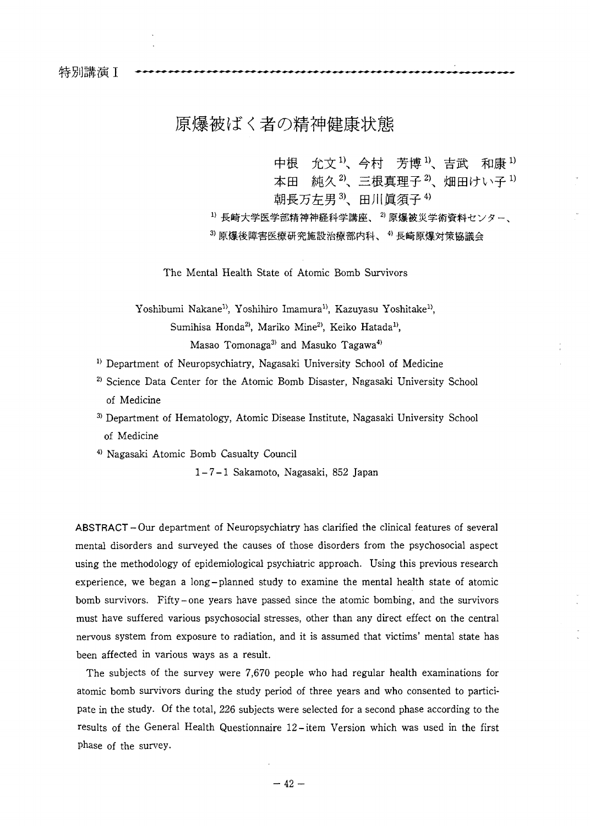特別講演 I

# 原爆被ばく者の精神健康状態

中根 允文<sup>1)</sup>、今村 芳博<sup>1)</sup>、吉武 和康<sup>1)</sup> 本田 純久2、三根真理子2、畑田けい子1) 朝長万左男3、田川眞須子4)

<sup>1)</sup> 長崎大学医学部精神神経科学講座、<sup>2)</sup> 原爆被災学術資料センター、

3 原爆後障害医療研究施設治療部内科、4 長崎原爆対策協議会

The Mental Health State of Atomic Bomb Survivors

Yoshibumi Nakane<sup>1)</sup>, Yoshihiro Imamura<sup>1)</sup>, Kazuyasu Yoshitake<sup>1)</sup>, Sumihisa Honda<sup>2)</sup>, Mariko Mine<sup>2)</sup>, Keiko Hatada<sup>1)</sup>, Masao Tomonaga<sup>3)</sup> and Masuko Tagawa<sup>4)</sup>

- <sup>1)</sup> Department of Neuropsychiatry, Nagasaki University School of Medicine
- 2) Science Data Center for the Atomic Bomb Disaster, Nagasaki University School of Medicine
- 3) Department of Hematology, Atomic Disease Institute, Nagasaki University School of Medicine

4) Nagasaki Atomic Bomb Casualty Council

1-7- 1 Sakamoto, Nagasaki, 852 Japan

ABSTRACT-Our department of Neuropsychiatry has clarified the clinical features of several mental disorders and surveyed the causes of those disorders from the psychosocial aspect using the methodology of epidemiological psychiatric approach. Using this previous research experience, we began a long-planned study to examine the mental health state of atomic bomb survivors. Fifty-one years have passed since the atomic bombing, and the survivors must have suffered various psychosocial stresses, other than any direct effect on the central nervous system from exposure to radiation, and it is assumed that victims' mental state has been affected in various ways as a result.

The subjects of the survey were 7,670 people who had regular health examinations for atomic bomb survivors during the study period of three years and who consented to participate in the study. Of the total, 226 subjects were selected for a second phase according to the results of the General Health Questionnaire 12-item Version which was used in the first phase of the survey.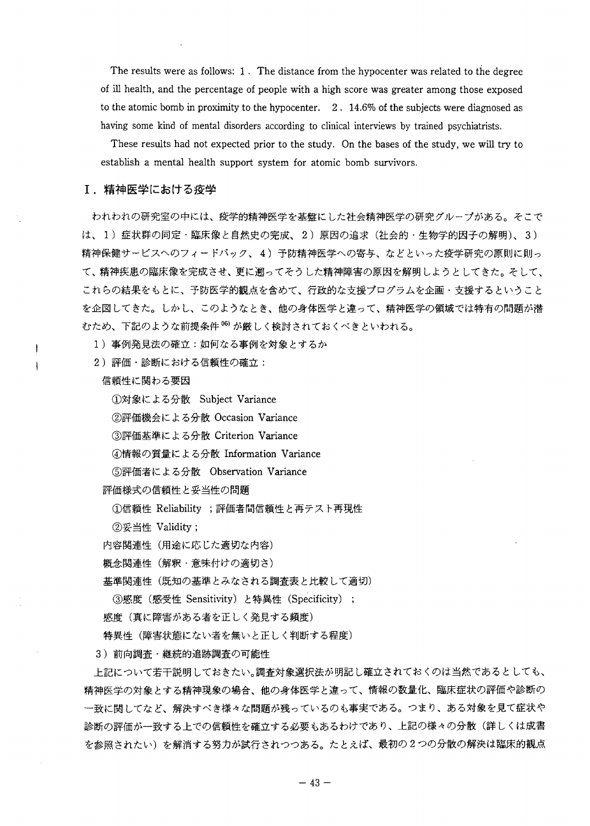The results were as follows: 1. The distance from the hypocenter was related to the degree of ill health, and the percentage of people with a high score was greater among those exposed to the atomic bomb in proximity to the hypocenter. 2 . 14.6% of the subjects were diagnosed as having some kind of mental disorders according to clinical interviews by trained psychiatrists.

These results had not expected prior to the study. On the bases of the study, we will try to establish a mental health support system for atomic bomb survivors.

# **I.**

われわれの研究室の中には、疫学的精神医学を基盤にした社会精神医学の研究グループがある。そこで **2) 3)** 精神保健サービスへのフィードバック、4)予防精神医学への寄与、などといった疫学研究の原則に則っ て、精神疾患の臨床像を完成させ、更に遡ってそうした精神障害の原因を解明しようとしてきた。そして、 これらの結果をもとに、予防医学的観点を含めて、行政的な支援プログラムを企画・支援するということ を企図してきた。しかし、このようなとき、他の身体医学と違って、精神医学の領域では特有の問題が潜 むため、下記のような前提条件<sup>06)</sup>が厳しく検討されておくべきといわれる。

1)事例発見法の確立:如何なる事例を対象とするか

2) 評価·診断における信頼性の確立:

信頼性に関わる要因

*(DMMi KkZ frnk* Subject Variance

②評価機会による分散 Occasion Variance

3評価基準による分散 Criterion Variance

4)情報の質量による分散 Information Variance

**5評価者による分散 Observation Variance** 

評価様式の信頼性と妥当性の問題

①信頼性 Reliability ;評価者間信頼性と再テスト再現性

②妥当性 Validity;

内容関連性 (用途に応じた適切な内容)

概念関連性 (解釈・意味付けの適切さ)

基準関連性 (既知の基準とみなされる調査表と比較して適切)

**③感度 (感受性 Sensitivity) と特異性 (Specificity) ;** 

感度(真に障害がある者を正しく発見する頻度)

特異性(障害状態にない者を無いと正しく判断する程度)

3) 前向調査·継続的追跡調査の可能性

上記について若干説明しておきたい。調査対象選択法が明記し確立されておくのは当然であるとしても、 精神医学の対象とする精神現象の場合、他の身体医学と違って、情報の数量化、臨床症状の評価や診断の 一致に関してなど、解決すべき様々な問題が残っているのも事実である。つまり、ある対象を見て症状や 診断の評価が一致する上での信頼性を確立する必要もあるわけであり、上記の様々の分散(詳しくは成書 を参照されたい)を解消する努力が試行されつつある。たとえば、最初の2つの分散の解決は臨床的観点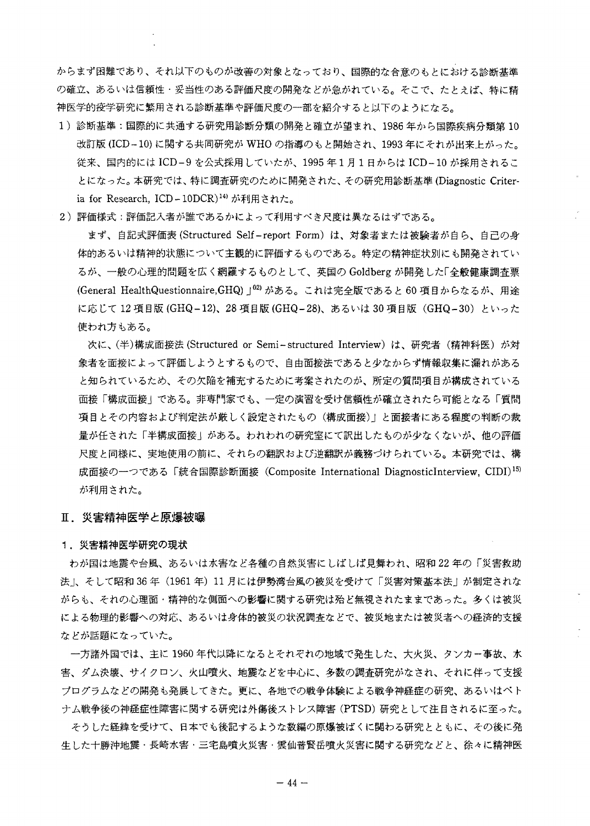からまず困難であり、それ以下のものが改善の対象となっており、国際的な合意のもとにおける診断基準 の確立、あるいは信頼性・妥当性のある評価尺度の開発などが急がれている。そこで、たとえば、特に精 神医学的疫学研究に繁用される診断基準や評価尺度の一部を紹介すると以下のようになる。

- 1)診断基準:国際的に共通する研究用診断分類の開発と確立が望まれ、1986 年から国際疾病分類第 10 改訂版(ICD-10)に関する共同研究がWHOの指導のもと開始され、1993年にそれが出来上がった。 従来、国内的には ICD-9を公式採用していたが、1995年1月1日からは ICD-10 が採用されるこ とになった。本研究では、特に調査研究のために開発された、その研究用診断基準(Diagnostic Criteria for Research, ICD-10DCR)<sup>14)</sup> が利用された。
- 2)評価様式:評価記入者が誰であるかによって利用すべき尺度は異なるはずである。

まず、自記式評価表 (Structured Self-report Form) は、対象者または被験者が自ら、自己の身 体的あるいは精神的状態について主観的に評価するものである。特定の精神症状別にも開発されてい るが、一般の心理的問題を広く網羅するものとして、英国の Goldberg が開発した「全般健康調査票 (General HealthQuestionnaire, GHQ) 」02) がある。これは完全版であると 60 項目からなるが、用途 に応じて 12 項目版 (GHQ-12)、28 項目版 (GHQ-28)、あるいは 30 項目版 (GHQ-30) といった 使われ方もある。

次に、(半)構成面接法 (Structured or Semi-structured Interview) は、研究者(精神科医)が対 象者を面接によって評価しようとするもので、自由面接法であると少なからず情報収集に漏れがある と知られているため、その欠陥を補充するために考案されたのが、所定の質問項目が構成されている 面接「構成面接」である。非専門家でも、一定の演習を受け信頼性が確立されたら可能となる「質問 項目とその内容および判定法が厳しく設定されたもの(構成面接)」と面接者にある程度の判断の裁 量が任された「半構成面接」がある。われわれの研究室にて訳出したものが少なくないが、他の評価 尺度と同様に、実地使用の前に、それらの翻訳および逆翻訳が義務づけられている。本研究では、構 成面接の一つである「統合国際診断面接(Composite International DiagnosticInterview, CIDI)<sup>15)</sup> が利用された。

## Ⅱ.災害精神医学と原爆被曝

### 1.災害精神医学研究の現状

わが国は地震や台風、あるいは水害など各種の自然災害にしばしば見舞われ、昭和22年の「災害救助 法 |、そして昭和36年(1961年)11月には伊勢湾台風の被災を受けて「災害対策基本法」が制定されな がらも、それの心理面・精神的な側面への影響に関する研究は殆ど無視されたままであった。多くは被災 による物理的影響への対応、あるいは身体的被災の状況調査などで、被災地または被災者への経済的支援 などが話題になっていた。

一方諸外国では、主に 1960 年代以降になるとそれぞれの地域で発生した、大火災、タンカー事故、水 害、ダム決壊、サイクロン、火山噴火、地震などを中心に、多数の調査研究がなされ、それに伴って支援 プログラムなどの開発も発展してきた。更に、各地での戦争体験による戦争神経症の研究、あるいはペト ナム戦争後の神経症性障害に関する研究は外傷後ストレス障害 (PTSD) 研究として注目されるに至った。

そうした経緯を受けて、日本でも後記するような数編の原爆被ばくに関わる研究とともに、その後に発 生した十勝沖地震・長崎水害・三宅島噴火災害・雲仙普賢岳噴火災害に関する研究などと、徐々に精神医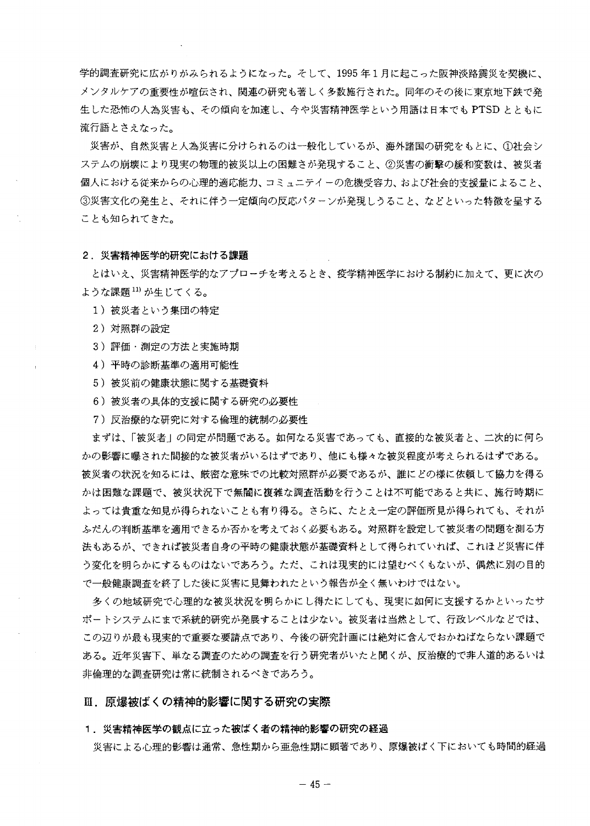学的調査研究に広がりがみられるようになった。そして、1995年1月に起こった阪神淡路震災を契機に、 メンタルケアの重要性が喧伝され、関連の研究も著しく多数施行された。同年のその後に東京地下鉄で発 生した恐怖の人為災害も、その傾向を加速し、今や災害精神医学という用語は日本でも PTSD とともに 流行語とさえなった。

災害が、自然災害と人為災害に分けられるのは一般化しているが、海外諸国の研究をもとに、①社会シ ステムの崩壊により現実の物理的被災以上の困難さが発現すること、②災害の衝撃の緩和変数は、被災者 個人における従来からの心理的適応能力、コミュニテイーの危機受容力、および社会的支援量によること、 **③災害文化の発生と、それに伴う一定傾向の反応パターンが発現しうること、などといった特徴を呈する** ことも知られてきた。

#### 2. 災害精神医学的研究における課題

とはいえ、災害精神医学的なアプローチを考えるとき、疫学精神医学における制約に加えて、更に次の ような課題 <sup>11)</sup> が生じてくる。

- 1)被災者という集団の特定
- 2)対照群の設定
- 3)評価・測定の方法と実施時期
- 4) 平時の診断基準の適用可能性
- 5) 被災前の健康状態に関する基礎資料
- 6) 被災者の具体的支援に関する研究の必要性
- 7) 反治療的な研究に対する倫理的統制の必要性

まずは、「被災者」の同定が問題である。如何なる災害であっても、直接的な被災者と、二次的に何ら かの影響に曝された間接的な被災者がいるはずであり、他にも様々な被災程度が考えられるはずである。 被災者の状況を知るには、厳密な意味での比較対照群が必要であるが、誰にどの様に依頼して協力を得る かは困難な課題で、被災状況下で無闇に複雑な調査活動を行うことは不可能であると共に、施行時期に よっては貴重な知見が得られないことも有り得る。さらに、たとえ一定の評価所見が得られても、それが ふだんの判断基準を適用できるか否かを考えておく必要もある。対照群を設定して被災者の問題を測る方 法もあるが、できれば被災者自身の平時の健康状態が基礎資料として得られていれば、これほど災害に伴 う変化を明らかにするものはないであろう。たた、これは現実的には望むべくもないが、偶然に別の目的 で一般健康調査を終了した後に災害に見舞われたという報告が全く無いわけではない。

多くの地域研究で心理的な被災状況を明らかにし得たにしても、現実に如何に支援するかといったサ ポートシステムにまで系統的研究が発展することは少ない。被災者は当然として、行政レベルなどでは、 この辺りが最も現実的で重要な要請点であり、今後の研究計画には絶対に含んでおかねばならない課題で ある。近年災害下、単なる調査のための調査を行う研究者がいたと聞くが、反治療的で非人道的あるいは 非倫理的な調査研究は常に統制されるべきであろう。

# Ⅲ. 原爆被ばくの精神的影響に関する研究の実際

### 1. 災害精神医学の観点に立った被ばく者の精神的影響の研究の経過

災害による心理的影響は通常、急性期から亜急性期に顕著であり、原爆被ばく下においても時間的経過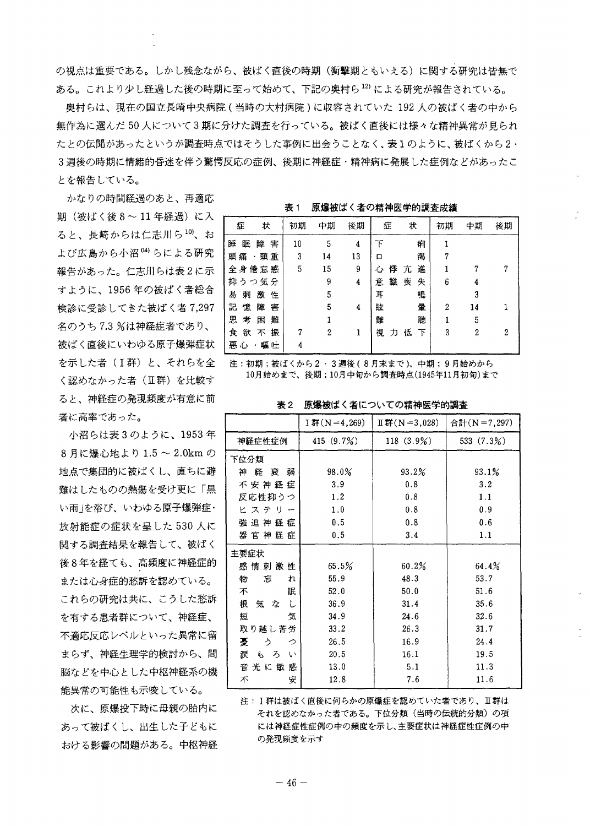の視点は重要である。しかし残念ながら、被ばく直後の時期(衝撃期ともいえる)に関する研究は皆無で ある。これより少し経過した後の時期に至って始めて、下記の奥村ら12)による研究が報告されている。

奥村らは、現在の国立長崎中央病院(当時の大村病院)に取容されていた 192 人の被ばく者の中から 無作為に選んだ50人について3期に分けた調査を行っている。被ばく直後には様々な精神異常が見られ たとの伝聞があったというが調査時点ではそうした事例に出会うことなく、表1のように、被ばくから2・ 3週後の時期に情緒的昏迷を伴う驚愕反応の症例、後期に神経症・精神病に発展した症例などがあったこ とを報告している。

かなりの時間経過のあと、再適応 期(被ばく後8~11年経過)に入 ると、長崎からは仁志川ら10)、お よび広島から小沼<sup>04)</sup>らによる研究 報告があった。仁志川らは表2に示 すように、1956年の被ばく者総合 検診に受診してきた被ばく者7,297 名のうち7.3%は神経症者であり、 被ばく直後にいわゆる原子爆弾症状 を示した者 (I群) と、それらを全 く認めなかった者 (Ⅱ群) を比較す ると、神経症の発現頻度が有意に前 者に高率であった。

小沼らは表3のように、1953年 8月に爆心地より1.5~2.0kmの 地点で集団的に被ばくし、直ちに避 難はしたものの熱傷を受け更に「黒 い雨」を浴び、いわゆる原子爆弾症・ 放射能症の症状を呈した530人に 関する調査結果を報告して、被ばく 後8年を経ても、高頻度に神経症的 または心身症的愁訴を認めている。 これらの研究は共に、こうした愁訴 を有する患者群について、神経症、 不適応反応レベルといった異常に留 まらず、神経生理学的検討から、間 脳などを中心とした中枢神経系の機 能異常の可能性も示唆している。

次に、原爆投下時に母親の胎内に あって被ばくし、出生した子どもに おける影響の問題がある。中枢神経

| 原爆被ばく者の精神医学的調査成績<br>表 1 |
|-------------------------|
|-------------------------|

| 状<br>症      |   | 初期 | 中期 | 後期 | 症   |   | 状      | 初期 | 中期 | 後期 |
|-------------|---|----|----|----|-----|---|--------|----|----|----|
| 睡<br>眠<br>障 | 害 | 10 | 5  | 4  | 下   |   | 痢      |    |    |    |
| 頭痛·頭重       |   | 3  | 14 | 13 | 口   |   | 渇      |    |    |    |
| 全身倦怠感       |   | 5  | 15 | 9  | 心   | 俸 | 進<br>亢 |    |    | 7  |
| 抑うつ気分       |   |    | 9  | 4  | 意   | 識 | 喪<br>失 | 6  |    |    |
| 易<br>激<br>刺 | 性 |    | 5  |    | 耳   |   | 鳴      |    | 3  |    |
| 記<br>憶<br>障 | 害 |    | 5  | 4  | 胘   |   | 暈      | 2  | 14 |    |
| 思<br>考<br>困 | 難 |    |    |    | 難   |   | 聴      |    | 5  |    |
| 欲<br>食<br>不 | 振 | 7  | 2  | 1  | 視力低 |   | 下      | 3  | 2  | 2  |
| 悪心<br>・嘔吐   |   | 4  |    |    |     |   |        |    |    |    |

注:初期;被ばくから2·3週後(8月末まで)、中期;9月始めから 10月始めまで、後期;10月中旬から調査時点(1945年11月初旬)まで

表2 原爆被ばく者についての精神医学的調査

|                         | I 群 (N = 4,269) | $\text{II}$ 群(N=3,028) | 合計(N=7,297) |
|-------------------------|-----------------|------------------------|-------------|
| 神経症性症例                  | 415 (9.7%)      | $118(3.9\%)$           | 533 (7.3%)  |
| 下位分類                    |                 |                        |             |
| 経 衰 弱<br>神              | 98.0%           | 93.2%                  | 93.1%       |
| 不安神経症                   | 3.9             | 0.8                    | 3.2         |
| 反応性抑うつ                  | 1.2             | 0.8                    | 1.1         |
| ヒステリー                   | 1.0             | 0.8                    | 0.9         |
| 強迫神経症                   | 0.5             | 0.8                    | 0.6         |
| 器 官 神 経 症               | 0.5             | 3.4                    | 1.1         |
| 主要症状                    |                 |                        |             |
| 感 情 刺 激 性               | 65.5%           | 60.2%                  | 64.4%       |
| 物<br>忘<br>れ             | 55.9            | 48.3                   | 53.7        |
| 眠<br>不                  | 52.0            | 50.0                   | 51.6        |
| 根<br>気な<br>レ            | 36.9            | 31.4                   | 35.6        |
| 短<br>気                  | 34.9            | 24.6                   | 32.6        |
| 取り越し苦労                  | 33.2            | 26.3                   | 31.7        |
| 憂<br>う<br>っ             | 26.5            | 16.9                   | 24.4        |
| もろ<br>涙<br>$\mathbf{v}$ | 20.5            | 16.1                   | 19.5        |
| 音 光 に 敏 感               | 13.0            | 5.1                    | 11.3        |
| 安<br>不                  | 12.8            | 7.6                    | 11.6        |

注: I群は被ばく直後に何らかの原爆症を認めていた者であり、Ⅱ群は それを認めなかった者である。下位分類(当時の伝統的分類)の項 には神経症性症例の中の頻度を示し、主要症状は神経症性症例の中 の発現頻度を示す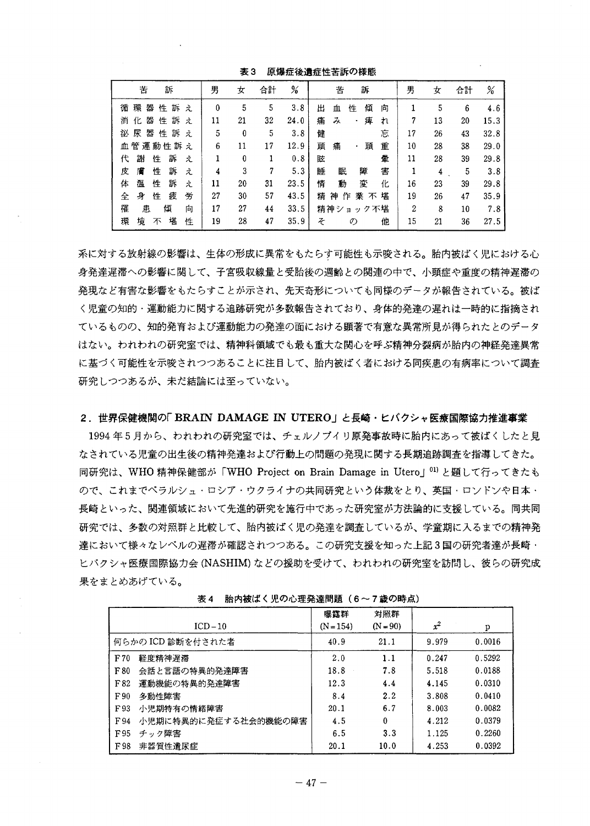| 苦<br>訴                             | 男<br>女   | 合計<br>%    | 苦<br>訴                  | 男  | 女  | 合計 | %    |
|------------------------------------|----------|------------|-------------------------|----|----|----|------|
| 環<br>쁇<br>訴<br>性<br>循<br>え         | 0<br>5   | 3.8<br>5   | 傾<br>性<br>出<br>向<br>血   |    | 5  | 6  | 4.6  |
| 化<br>쁆<br>訴<br>消<br>性<br>$\lambda$ | 21<br>11 | 32<br>24.0 | 痺<br>み<br>痛<br>れ<br>۰   | 7  | 13 | 20 | 15.3 |
| 尿<br>쁇<br>訴<br>性<br>袐<br>ż.        | 5<br>0   | 5<br>3.8   | 忘<br>健                  | 17 | 26 | 43 | 32.8 |
| 血管運動性訴え                            | 6<br>11  | 12.9<br>17 | 頭<br>重<br>頭<br>痛<br>٠   | 10 | 28 | 38 | 29.0 |
| 訴<br>謝<br>代<br>性<br>ż.             | 0        | 0.8        | 暈<br>眩                  | 11 | 28 | 39 | 29.8 |
| 性<br>訴<br>膚<br>皮<br>え              | 3<br>4   | 5.3<br>7   | 害<br>睡<br>眠<br>障        |    | 4  | 5  | 3.8  |
| 訴<br>温<br>性<br>体<br>え              | 11<br>20 | 23.5<br>31 | 情<br>動<br>変<br>化        | 16 | 23 | 39 | 29.8 |
| 疲<br>身<br>労<br>全<br>性              | 27<br>30 | 57<br>43.5 | 業 不<br>堪<br>精<br>神<br>作 | 19 | 26 | 47 | 35.9 |
| 罹<br>傾<br>患<br>向                   | 17<br>27 | 33.5<br>44 | 精神ショ<br>ック不堪            | 2  | 8  | 10 | 7.8  |
| 堪<br>境<br>環<br>性<br>不              | 19<br>28 | 47<br>35.9 | そ<br>他<br>の             | 15 | 21 | 36 | 27.5 |

表3 原爆症後遺症性苦訴の様態

系に対する放射線の影響は、生体の形成に異常をもたらす可能性も示唆される。胎内被ばく児における心 身発達遅滞への影響に関して、子宮吸収線量と受胎後の週齢との関連の中で、小頭症や重度の精神遅滞の 発現など有害な影響をもたらすことが示され、先天奇形についても同様のデータが報告されている。被ば く児童の知的・運動能力に関する追跡研究が多数報告されており、身体的発達の遅れは一時的に指摘され ているものの、知的発育および運動能力の発達の面における顕著で有意な異常所見が得られたとのデータ はない。われわれの研究室では、精神科領域でも最も重大な関心を呼ぶ精神分裂病が胎内の神経発達異常 に基づく可能性を示唆されつつあることに注目して、胎内被ばく者における同疾患の有病率について調査 研究しつつあるが、未だ結論には至っていない。

# 2. 世界保健機関の「BRAIN DAMAGE IN UTERO」と長崎・ヒバクシャ医療国際協力推進事業

1994年5月から、われわれの研究室では、チェルノブイリ原発事故時に胎内にあって被ばくしたと見 なされている児童の出生後の精神発達および行動上の問題の発現に関する長期追跡調査を指導してきた。 同研究は、WHO 精神保健部が「WHO Project on Brain Damage in Utero」<sup>01)</sup>と題して行ってきたも ので、これまでベラルシュ・ロシア・ウクライナの共同研究という体裁をとり、英国・ロンドンや日本・ 長崎といった、関連領域において先進的研究を施行中であった研究室が方法論的に支援している。同共同 研究では、多数の対照群と比較して、胎内被ばく児の発達を調査しているが、学童期に入るまでの精神発 達において様々なレベルの遅滞が確認されつつある。この研究支援を知った上記3国の研究者達が長崎・ ヒバクシャ医療国際協力会(NASHIM)などの援助を受けて、われわれの研究室を訪問し、彼らの研究成 果をまとめあげている。

| $ICD-10$                     | 曝露群<br>$(N = 154)$ | 対照群<br>$(N = 90)$ | $x^2$ | р      |
|------------------------------|--------------------|-------------------|-------|--------|
| 何らかの ICD 診断を付された者            | 40.9               | 21.1              | 9.979 | 0.0016 |
| 軽度精神遅滞<br>F70                | 2.0                | 1.1               | 0.247 | 0.5292 |
| 会話と言語の特異的発達障害<br>F80         | 18.8               | 7.8               | 5.518 | 0.0188 |
| 運動機能の特異的発達障害<br>F82          | 12.3               | 4.4               | 4.145 | 0.0310 |
| F90<br>多動性障害                 | 8.4                | 2.2               | 3.808 | 0.0410 |
| 小児期特有の情緒障害<br>F93            | 20.1               | 6.7               | 8.003 | 0.0082 |
| 小児期に特異的に発症する社会的機能の障害<br>F 94 | 4.5                | 0                 | 4.212 | 0.0379 |
| F95<br>チック障害                 | 6.5                | 3.3               | 1.125 | 0.2260 |
| 非器質性遺尿症<br>F98               | 20.1               | 10.0              | 4.253 | 0.0392 |

表4 胎内被ばく児の心理発達問題 (6~7歳の時点)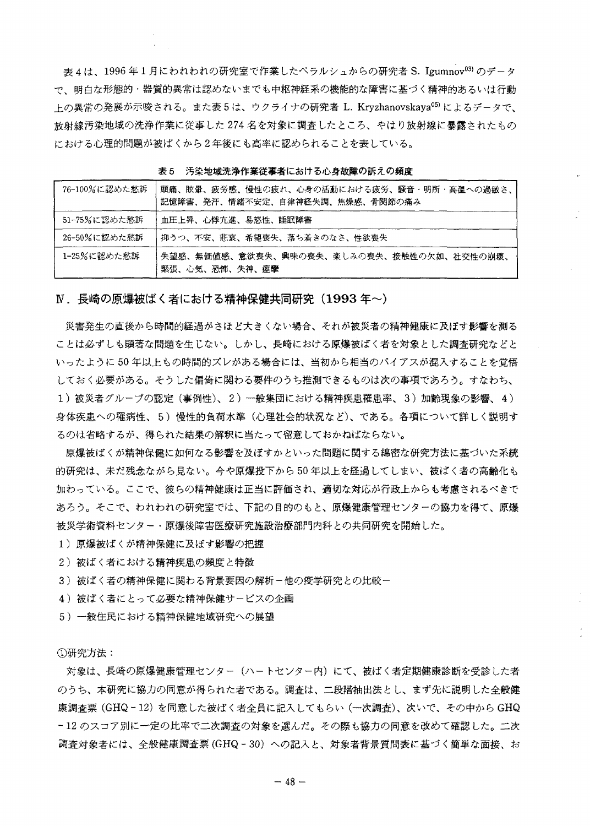表 4 は、1996 年 1 月にわれわれの研究室で作業したペラルシュからの研究者 S. Igumnov<sup>03)</sup> のデータ で、明白な形態的・器質的異常は認めないまでも中枢神経系の機能的な障害に基づく精神的あるいは行動 トの異常の発展が示唆される。また表5は、ウクライナの研究者 L. Kryzhanovskaya<sup>05)</sup>によるデータで、 |放射線汚染地域の洗浄作業に従事した 274 名を対象に調査したところ、やはり放射線に暴露されたもの における心理的問題が被ばくから2年後にも高率に認められることを表している。

| 76-100%に認めた愁訴 | 頭痛、眩暈、疲労感、慢性の疲れ、心身の活動における疲労、騒音・明所・高温への過敏さ、<br>記憶障害、発汗、情緒不安定、自律神経失調、焦燥感、骨関節の痛み |
|---------------|-------------------------------------------------------------------------------|
| 51-75%に認めた愁訴  | 血圧上昇、心悸亢進、易怒性、睡眠障害                                                            |
| 26-50%に認めた愁訴  | <b>「抑うつ、不安、悲哀、希望喪失、落ち着きのなさ、性欲喪失</b>                                           |
| 1-25%に認めた愁訴   | 失望感、無価値感、意欲喪失、興味の喪失、楽しみの喪失、接触性の欠如、社交性の崩壊、<br>緊張、心気、恐怖、失神、痙攣                   |

表5 汚染地域洗浄作業従事者における心身故障の訴えの頻度

Ⅳ.長崎の原爆被ばく者における精神保健共同研究(1993 年~)

災害発生の直後から時間的経過がさほど大きくない場合、それが被災者の精神健康に及ぼす影響を測る ことは必ずしも顕著な問題を生じない。しかし、長崎における原爆被ばく者を対象とした調査研究などと いったように50年以上もの時間的ズレがある場合には、当初から相当のバイアスが混入することを覚悟 しておく必要がある。そうした偏倚に関わる要件のうち推測できるものは次の事項であろう。すなわち、 1)被災者グループの認定(事例性)、2)一般集団における精神疾患罹患率、3)加齢現象の影響、4) 身体疾患への罹病性、5)慢性的負荷水準(心理社会的状況など)、である。各項について詳しく説明す るのは省略するが、得られた結果の解釈に当たって留意しておかねばならない。

原爆被ばくが精神保健に如何なる影響を及ぼすかといった問題に関する綿密な研究方法に基づいた系統 的研究は、未だ残念ながら見ない。今や原爆投下から 50 年以上を経過してしまい、被ばく者の高齢化も 加わっている。ここで、彼らの精神健康は正当に評価され、適切な対応が行政上からも考慮されるべきで あろう。そこで、われわれの研究室では、下記の目的のもと、原爆健康管理センターの協力を得て、原爆 被災学術資料センター・原爆後障害医療研究施設治療部門内科との共同研究を開始した。

- 1) 原爆被ばくが精神保健に及ぼす影響の把握
- 2) 被ばく者における精神疾患の頻度と特徴
- 3) 被ばく者の精神保健に関わる背景要因の解析-他の疫学研究との比較-
- 4) 被ばく者にとって必要な精神保健サービスの企画
- 5) 一般住民における精神保健地域研究への展望

①研究方法:

対象は、長崎の原爆健康管理センター(ハートセンター内)にて、被ばく者定期健康診断を受診した者 のうち、本研究に協力の同意が得られた者である。調査は、二段階抽出法とし、まず先に説明した全般健 康調査票 (GHQ‐12) を同意した被ばく者全員に記入してもらい (一次調査)、次いで、その中から GHQ - 12 のスコア別に一定の比率で二次調査の対象を選んだ。その際も協力の同意を改めて確認した。二次 調査対象者には、全般健康調査票(GHQ - 30) への記入と、対象者背景質問表に基づく簡単な面接、お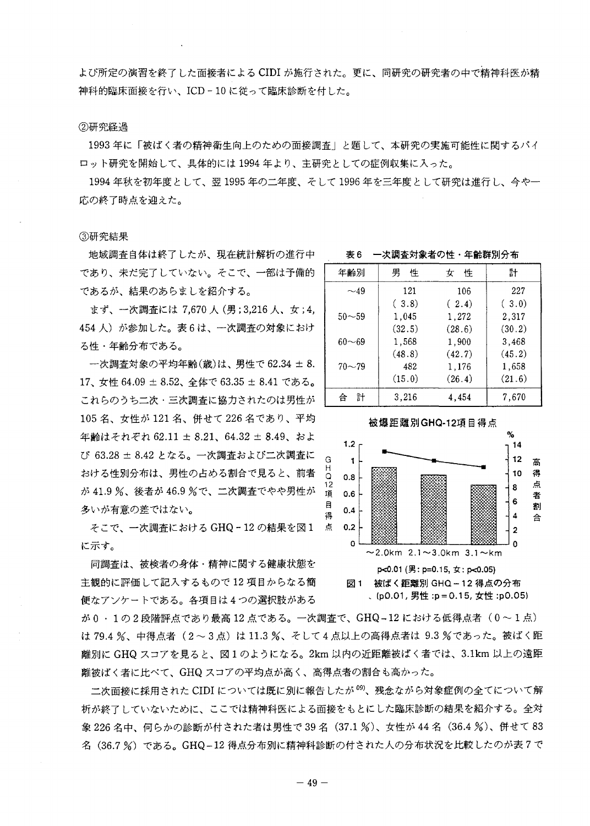よび所定の演習を終了した面接者による CIDI が施行された。更に、同研究の研究者の中で精神科医が精 神科的臨床面接を行い、ICD-10に従って臨床診断を付した。

## ②研究経過

1993年に「被ばく者の精神衛生向上のための面接調査」と題して、本研究の実施可能性に関するパイ ロット研究を開始して、具体的には1994年より、主研究としての症例収集に入った。

1994年秋を初年度として、翌1995年の二年度、そして1996年を三年度として研究は進行し、今や一 応の終了時点を迎えた。

#### ③研究結果

地域調査自体は終了したが、現在統計解析の進行中 であり、未だ完了していない。そこで、一部は予備的 であるが、結果のあらましを紹介する。

まず、一次調査には 7,670 人 (男; 3,216 人、女; 4, 454人)が参加した。表6は、一次調査の対象におけ る性・年齢分布である。

一次調査対象の平均年齢(歳)は、男性で62.34 ±8. 17、女性 64.09 ± 8.52、全体で 63.35 ± 8.41 である。 これらのうち二次・三次調査に協力されたのは男性が 105名、女性が121名、併せて226名であり、平均 年齢はそれぞれ 62.11 ± 8.21、64.32 ± 8.49、およ び 63.28 ± 8.42 となる。一次調査および二次調査に おける性別分布は、男性の占める割合で見ると、前者 が 41.9 %、後者が 46.9 %で、二次調査でやや男性が 多いが有意の差ではない。

そこで、一次調査における GHQ-12 の結果を図1 点 に示す。

同調査は、被検者の身体・精神に関する健康状態を 主観的に評価して記入するもので12項目からなる簡 便なアンケートである。各項目は4つの選択肢がある

が0·1の2段階評点であり最高12点である。一次調査で、GHQ-12における低得点者 (0~1点) は 79.4 %、中得点者 (2~3点)は 11.3 %、そして4点以上の高得点者は 9.3 %であった。被ばく距 離別に GHQ スコアを見ると、図1のようになる。2km 以内の近距離被ばく者では、3.1km 以上の遠距 離被ばく者に比べて、GHQ スコアの平均点が高く、高得点者の割合も高かった。

二次面接に採用された CIDI については既に別に報告したが<sup>09)</sup>、残念ながら対象症例の全てについて解 析が終了していないために、ここでは精神科医による面接をもとにした臨床診断の結果を紹介する。全対 象 226 名中、何らかの診断が付された者は男性で 39 名(37.1 %)、女性が 44 名(36.4 %)、併せて 83 名 (36.7%) である。GHQ-12 得点分布別に精神科診断の付された人の分布状況を比較したのが表7で

表6 一次調査対象者の性・年齢群別分布

| 年齢別       | 男<br>性 | 性<br>女 | 計      |
|-----------|--------|--------|--------|
| $\sim$ 49 | 121    | 106    | 227    |
|           | (.3.8) | (2.4)  | (.3.0) |
| $50 - 59$ | 1,045  | 1,272  | 2,317  |
|           | (32.5) | (28.6) | (30.2) |
| $60 - 69$ | 1,568  | 1,900  | 3,468  |
|           | (48.8) | (42.7) | (45.2) |
| $70 - 79$ | 482    | 1,176  | 1,658  |
|           | (15.0) | (26.4) | (21.6) |
| 計<br>슴    | 3,216  | 4,454  | 7,670  |

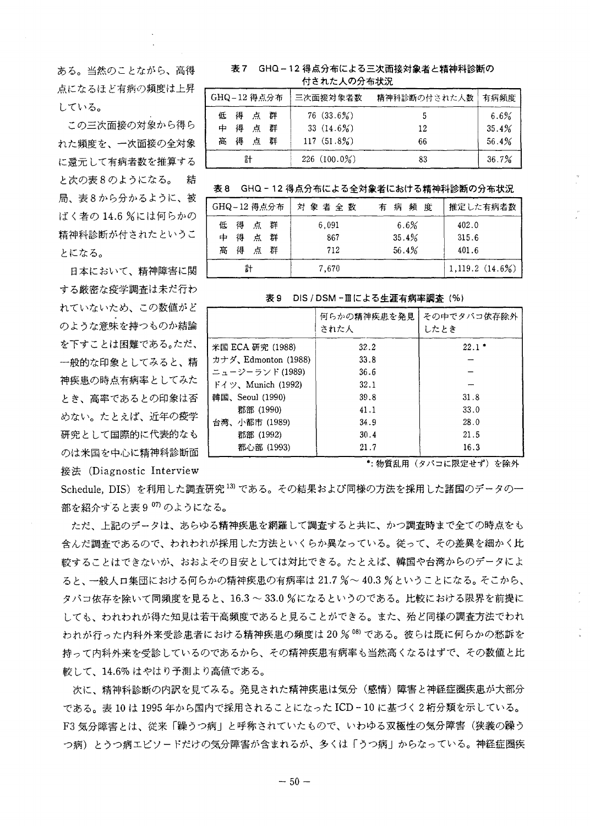ある。当然のことながら、高得 点になるほど有病の頻度は上昇 -している。

この三次面接の対象から得ら れた頻度を、一次面接の全対象 に還元して有病者数を推算する と次の表8のようになる。 結 局、表8から分かるように、被 ばく者の14.6 %には何らかの 精神科診断が付されたというこ とになる。

日本において、精神障害に関 する厳密な疫学調査は未だ行わ れていないため、この数値がど のような意味を持つものか結論 を下すことは困難である。ただ、 一般的な印象としてみると、精 神疾患の時点有病率としてみた とき、高率であるとの印象は否 めない。たとえば、近年の疫学 研究として国際的に代表的なも のは米国を中心に精神科診断面 接法 (Diagnostic Interview

# 表7 GHQ – 12 得点分布による三次面接対象者と精神科診断の 付された人の分布状況

| GHQ-12 得点分布 |      |    |   | 三次面接対象者数       | 精神科診断の付された人数 | 有病頻度    |
|-------------|------|----|---|----------------|--------------|---------|
|             | 低得点群 |    |   | $76(33.6\%)$   | 5            | $6.6\%$ |
| 中           | 得    | 点群 |   | 33 $(14.6\%)$  | 12           | 35.4%   |
| 高の得         |      | 点  | 群 | $117(51.8\%)$  | 66           | 56.4%   |
|             | 計    |    |   | $226(100.0\%)$ | 83           | 36.7%   |

# 表8 GHQ-12 得点分布による全対象者における精神科診断の分布状況

| GHQ-12 得点分布       | 対象者全数 | 有病頻度  | 推定した有病者数          |
|-------------------|-------|-------|-------------------|
| 得点群<br>低          | 6,091 | 6.6%  | 402.0             |
| 得<br>群<br>点<br>中. | 867   | 35.4% | 315.6             |
| 得<br>高<br>点群      | 712   | 56.4% | 401.6             |
| 計                 | 7.670 |       | $1,119.2(14.6\%)$ |

表 9 DIS / DSM −Ⅲによる生涯有病率調査(%)

|                     | 何らかの精神疾患を発見<br>された人 | その中でタバコ依存除外<br>したとき |
|---------------------|---------------------|---------------------|
| 米国 ECA 研究 (1988)    | 32.2                | $22.1*$             |
| カナダ、Edmonton (1988) | 33.8                |                     |
| ニュージーランド (1989)     | 36.6                |                     |
| ドイツ、Munich (1992)   | 32.1                |                     |
| 韓国、Seoul (1990)     | 39.8                | 31.8                |
| 郡部 (1990)           | 41.1                | 33.0                |
| 台湾、小都市 (1989)       | 34.9                | 28.0                |
| 郡部 (1992)           | 30.4                | 21.5                |
| 都心部 (1993)          | 21.7                | 16.3                |

\*: 物質乱用 (タバコに限定せず) を除外

Schedule, DIS)を利用した調査研究<sup>13</sup>である。その結果および同様の方法を採用した諸国のデータの一 部を紹介すると表907)のようになる。

ただ、上記のデータは、あらゆる精神疾患を網羅して調査すると共に、かつ調査時まで全ての時点をも 含んだ調査であるので、われわれが採用した方法といくらか異なっている。従って、その差異を細かく比 較することはできないが、おおよその目安としては対比できる。たとえば、韓国や台湾からのデータによ ると、一般人口集団における何らかの精神疾患の有病率は 21.7 %~40.3 %ということになる。そこから、 タバコ依存を除いて同頻度を見ると、16.3 ~33.0 %になるというのである。比較における限界を前提に しても、われわれが得た知見は若干高頻度であると見ることができる。また、殆ど同様の調査方法でわれ われが行った内科外来受診患者における精神疾患の頻度は20%®である。彼らは既に何らかの愁訴を 持って内科外来を受診しているのであるから、その精神疾患有病率も当然高くなるはずで、その数値と比 較して、14.6% はやはり予測より高値である。

次に、精神科診断の内訳を見てみる。発見された精神疾患は気分(感情)障害と神経症圏疾患が大部分 である。表 10 は 1995 年から国内で採用されることになった ICD‐10 に基づく2桁分類を示している。 F3 気分障害とは、従来「躁うつ病」と呼称されていたもので、いわゆる双極性の気分障害(狭義の躁う つ病)とうつ病エピソードだけの気分障害が含まれるが、多くは「うつ病」からなっている。神経症圏疾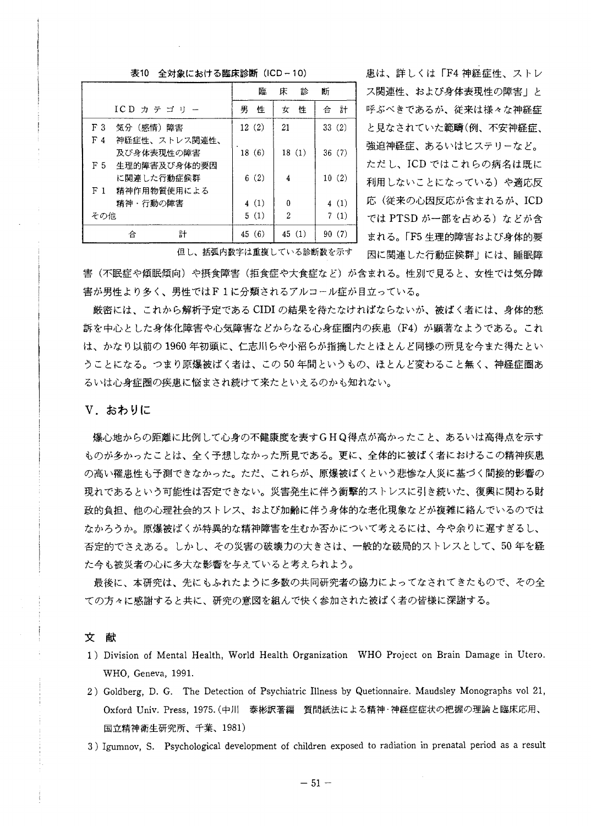#### 表10 全対象における臨床診断 (ICD-10)

|                                 | 臨      | 診<br>床         | 断      |
|---------------------------------|--------|----------------|--------|
| $ICD$ カテゴリー                     | 性<br>男 | 性<br>女         | 計<br>合 |
| F <sub>3</sub><br>気分(感情)障害      | 12(2)  | 21             | 33(2)  |
| F <sub>4</sub><br>神経症性、ストレス関連性、 |        |                |        |
| 及び身体表現性の障害                      | 18(6)  | 18(1)          | 36(7)  |
| 牛理的障害及び身体的要因<br>F 5             |        |                |        |
| に関連した行動症候群                      | 6(2)   | 4              | 10(2)  |
| 精神作用物質使用による<br>F <sub>1</sub>   |        |                |        |
| 精神・行動の障害                        | 4(1)   | 0              | 4(1)   |
| その他                             | 5(1)   | $\overline{2}$ | 7(1)   |
| 計<br>合                          | 45(6)  | 45(1)          | 90(7)  |

患は、詳しくは「F4 神経症性、ストレ ス関連性、および身体表現性の障害」と 呼ぶべきであるが、従来は様々な神経症 と見なされていた範疇(例、不安神経症、 強迫神経症、あるいはヒステリーなど。 ただし、ICD ではこれらの病名は既に 利用しないことになっている)や適応反 応(従来の心因反応が含まれるが、ICD では PTSD が一部を占める) などが含 まれる。「F5 生理的障害および身体的要 因に関連した行動症候群」には、睡眠障

但し、括弧内数字は重複している診断数を示す

害(不眠症や傾眠傾向)や摂食障害(拒食症や大食症など)が含まれる。性別で見ると、女性では気分障 害が男性より多く、男性ではF1に分類されるアルコール症が目立っている。

厳密には、これから解析予定である CIDI の結果を待たなければならないが、被ばく者には、身体的愁 訴を中心とした身体化障害や心気障害などからなる心身症圏内の疾患 (F4) が顕著なようである。これ は、かなり以前の1960年初頭に、仁志川らや小沼らが指摘したとほとんど同様の所見を今また得たとい うことになる。つまり原爆被ばく者は、この50年間というもの、ほとんど変わること無く、神経症圏あ るいは心身症圏の疾患に悩まされ続けて来たといえるのかも知れない。

# V. おわりに

爆心地からの距離に比例して心身の不健康度を表すGHQ得点が高かったこと、あるいは高得点を示す ものが多かったことは、全く予想しなかった所見である。更に、全体的に被ばく者におけるこの精神疾患 の高い罹患性も予測できなかった。ただ、これらが、原爆被ばくという悲惨な人災に基づく間接的影響の 現れであるという可能性は否定できない。災害発生に伴う衝撃的ストレスに引き続いた、復興に関わる財 政的負担、他の心理社会的ストレス、および加齢に伴う身体的な老化現象などが複雑に絡んでいるのでは なかろうか。原爆被ばくが特異的な精神障害を生むか否かについて考えるには、今や余りに遅すぎるし、 否定的でさえある。しかし、その災害の破壊力の大きさは、一般的な破局的ストレスとして、50年を経 た今も被災者の心に多大な影響を与えていると考えられよう。

最後に、本研究は、先にもふれたように多数の共同研究者の協力によってなされてきたもので、その全 ての方々に感謝すると共に、研究の意図を組んで快く参加された被ばく者の皆様に深謝する。

文献

- 1) Division of Mental Health, World Health Organization WHO Project on Brain Damage in Utero. WHO, Geneva, 1991.
- 2) Goldberg, D. G. The Detection of Psychiatric Illness by Quetionnaire. Maudsley Monographs vol 21, Oxford Univ. Press, 1975. (中川 泰彬訳著編 質問紙法による精神·神経症症状の把握の理論と臨床応用、 国立精神衛生研究所、千葉、1981)
- 3) Igumnov, S. Psychological development of children exposed to radiation in prenatal period as a result